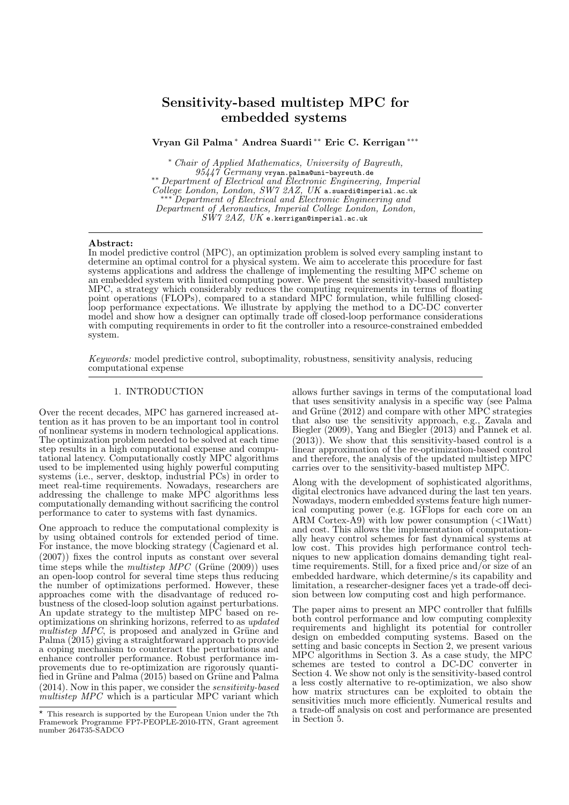# Sensitivity-based multistep MPC for embedded systems

Vryan Gil Palma <sup>∗</sup> Andrea Suardi ∗∗ Eric C. Kerrigan ∗∗∗

<sup>∗</sup> Chair of Applied Mathematics, University of Bayreuth,  $95447$   $Germany$  vryan.palma@uni-bayreuth.de ∗∗ Department of Electrical and Electronic Engineering, Imperial College London, London, SW7 2AZ, UK a.suardi@imperial.ac.uk ∗∗∗ Department of Electrical and Electronic Engineering and Department of Aeronautics, Imperial College London, London,  $S\tilde{W}7$   $2AZ,~UK$  e.kerrigan@imperial.ac.uk

#### Abstract:

In model predictive control (MPC), an optimization problem is solved every sampling instant to determine an optimal control for a physical system. We aim to accelerate this procedure for fast systems applications and address the challenge of implementing the resulting MPC scheme on an embedded system with limited computing power. We present the sensitivity-based multistep MPC, a strategy which considerably reduces the computing requirements in terms of floating point operations (FLOPs), compared to a standard MPC formulation, while fulfilling closedloop performance expectations. We illustrate by applying the method to a DC-DC converter model and show how a designer can optimally trade off closed-loop performance considerations with computing requirements in order to fit the controller into a resource-constrained embedded system.

Keywords: model predictive control, suboptimality, robustness, sensitivity analysis, reducing computational expense

# 1. INTRODUCTION

Over the recent decades, MPC has garnered increased attention as it has proven to be an important tool in control of nonlinear systems in modern technological applications. The optimization problem needed to be solved at each time step results in a high computational expense and computational latency. Computationally costly MPC algorithms used to be implemented using highly powerful computing systems (i.e., server, desktop, industrial PCs) in order to meet real-time requirements. Nowadays, researchers are addressing the challenge to make MPC algorithms less computationally demanding without sacrificing the control performance to cater to systems with fast dynamics.

One approach to reduce the computational complexity is by using obtained controls for extended period of time. For instance, the move blocking strategy (Cagienard et al. (2007)) fixes the control inputs as constant over several time steps while the *multistep MPC* (Grüne  $(2009)$ ) uses an open-loop control for several time steps thus reducing the number of optimizations performed. However, these approaches come with the disadvantage of reduced robustness of the closed-loop solution against perturbations. An update strategy to the multistep MPC based on reoptimizations on shrinking horizons, referred to as updated  $multistep$   $MPC$ , is proposed and analyzed in Grüne and Palma (2015) giving a straightforward approach to provide a coping mechanism to counteract the perturbations and enhance controller performance. Robust performance improvements due to re-optimization are rigorously quantified in Grüne and Palma (2015) based on Grüne and Palma (2014). Now in this paper, we consider the sensitivity-based  $mult is tep \, MPC$  which is a particular MPC variant which allows further savings in terms of the computational load that uses sensitivity analysis in a specific way (see Palma and Grüne  $(2012)$  and compare with other MPC strategies that also use the sensitivity approach, e.g., Zavala and Biegler (2009), Yang and Biegler (2013) and Pannek et al. (2013)). We show that this sensitivity-based control is a linear approximation of the re-optimization-based control and therefore, the analysis of the updated multistep MPC carries over to the sensitivity-based multistep MPC.

Along with the development of sophisticated algorithms, digital electronics have advanced during the last ten years. Nowadays, modern embedded systems feature high numerical computing power (e.g. 1GFlops for each core on an ARM Cortex-A9) with low power consumption  $\left($  <1Watt) and cost. This allows the implementation of computationally heavy control schemes for fast dynamical systems at low cost. This provides high performance control techniques to new application domains demanding tight realtime requirements. Still, for a fixed price and/or size of an embedded hardware, which determine/s its capability and limitation, a researcher-designer faces yet a trade-off decision between low computing cost and high performance.

The paper aims to present an MPC controller that fulfills both control performance and low computing complexity requirements and highlight its potential for controller design on embedded computing systems. Based on the setting and basic concepts in Section 2, we present various MPC algorithms in Section 3. As a case study, the MPC schemes are tested to control a DC-DC converter in Section 4. We show not only is the sensitivity-based control a less costly alternative to re-optimization, we also show how matrix structures can be exploited to obtain the sensitivities much more efficiently. Numerical results and a trade-off analysis on cost and performance are presented in Section 5.

<sup>?</sup> This research is supported by the European Union under the 7th Framework Programme FP7-PEOPLE-2010-ITN, Grant agreement number 264735-SADCO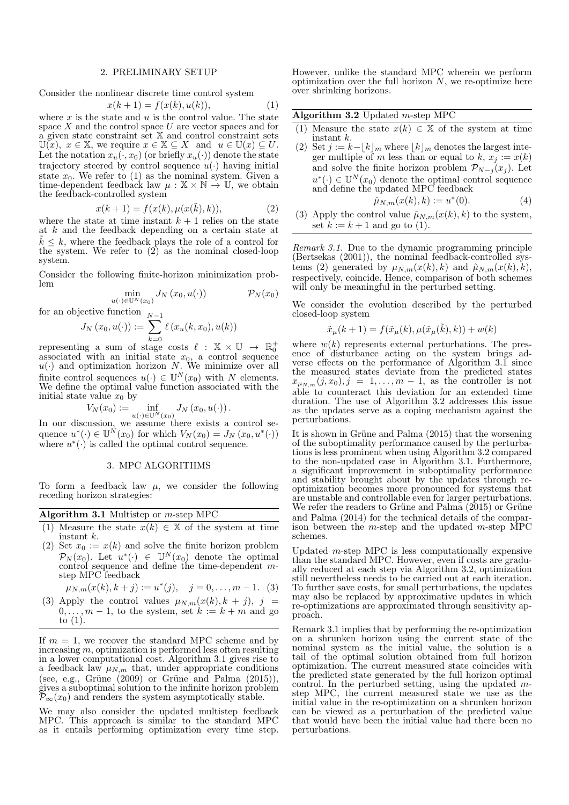## 2. PRELIMINARY SETUP

Consider the nonlinear discrete time control system

$$
x(k+1) = f(x(k), u(k)),
$$
 (1)

where  $x$  is the state and  $u$  is the control value. The state space  $X$  and the control space  $U$  are vector spaces and for a given state constraint set  $X$  and control constraint sets  $\mathbb{U}(x), x \in \mathbb{X},$  we require  $x \in \mathbb{X} \subseteq X$  and  $u \in \mathbb{U}(x) \subseteq U$ . Let the notation  $x_u(\cdot, x_0)$  (or briefly  $x_u(\cdot)$ ) denote the state trajectory steered by control sequence  $u(\cdot)$  having initial state  $x_0$ . We refer to (1) as the nominal system. Given a time-dependent feedback law  $\mu : \mathbb{X} \times \mathbb{N} \to \mathbb{U}$ , we obtain the feedback-controlled system

$$
x(k+1) = f(x(k), \mu(x(\tilde{k}), k)),
$$
 (2)

where the state at time instant  $k + 1$  relies on the state at k and the feedback depending on a certain state at  $\tilde{k} \leq k$ , where the feedback plays the role of a control for the system. We refer to (2) as the nominal closed-loop system.

Consider the following finite-horizon minimization problem

$$
\min_{u(\cdot) \in \mathbb{U}^N(x_0)} J_N(x_0, u(\cdot)) \qquad \mathcal{P}_N(x_0)
$$

for an objective function 
$$
J_N(x_0, u(\cdot)) := \sum_{k=0}^{N-1} \ell(x_u(k, x_0), u(k))
$$

representing a sum of stage costs  $\ell : \mathbb{X} \times \mathbb{U} \rightarrow \mathbb{R}_0^+$ associated with an initial state  $x_0$ , a control sequence  $u(\cdot)$  and optimization horizon N. We minimize over all finite control sequences  $u(\cdot) \in \mathbb{U}^N(x_0)$  with N elements. We define the optimal value function associated with the initial state value  $x_0$  by

$$
V_N(x_0) := \inf_{u(\cdot) \in \mathbb{U}^N(x_0)} J_N(x_0, u(\cdot)).
$$

In our discussion, we assume there exists a control sequence  $u^*(\cdot) \in \mathbb{U}^N(x_0)$  for which  $V_N(x_0) = J_N(x_0, u^*(\cdot))$ <br>where  $u^*(\cdot)$  is called the optimal control sequence.

#### 3. MPC ALGORITHMS

To form a feedback law  $\mu$ , we consider the following receding horizon strategies:

|  |  | Algorithm 3.1 Multistep or $m$ -step MPC |
|--|--|------------------------------------------|
|--|--|------------------------------------------|

- (1) Measure the state  $x(k) \in \mathbb{X}$  of the system at time instant k.
- (2) Set  $x_0 := x(k)$  and solve the finite horizon problem  $\mathcal{P}_N(x_0)$ . Let  $u^*(\cdot) \in \mathbb{U}^N(x_0)$  denote the optimal control sequence and define the time-dependent mstep MPC feedback

$$
\mu_{N,m}(x(k), k+j) := u^*(j), \quad j = 0, \dots, m-1.
$$
 (3)

(3) Apply the control values  $\mu_{N,m}(x(k), k + j)$ , j =  $0, \ldots, m-1$ , to the system, set  $k := k+m$  and go to  $(1)$ .

If  $m = 1$ , we recover the standard MPC scheme and by increasing  $m$ , optimization is performed less often resulting in a lower computational cost. Algorithm 3.1 gives rise to a feedback law  $\mu_{N,m}$  that, under appropriate conditions (see, e.g., Grüne  $(2009)$  or Grüne and Palma  $(2015)$ ), gives a suboptimal solution to the infinite horizon problem  $\overline{\mathcal{P}}_{\infty}(x_0)$  and renders the system asymptotically stable.

We may also consider the updated multistep feedback MPC. This approach is similar to the standard MPC as it entails performing optimization every time step.

However, unlike the standard MPC wherein we perform optimization over the full horizon  $N$ , we re-optimize here over shrinking horizons.

Algorithm 3.2 Updated  $m$ -step MPC

- (1) Measure the state  $x(k) \in \mathbb{X}$  of the system at time instant k.
- (2) Set  $j := k |k|_m$  where  $|k|_m$  denotes the largest integer multiple of m less than or equal to  $k, x_j := x(k)$ and solve the finite horizon problem  $\mathcal{P}_{N-j}(x_j)$ . Let  $u^*(\cdot) \in \mathbb{U}^N(x_0)$  denote the optimal control sequence and define the updated MPC feedback<br> $\hat{w}_{k} = (x(k), k) := x^*(0)$

$$
\hat{\mu}_{N,m}(x(k),k) := u^*(0). \tag{4}
$$

(3) Apply the control value  $\hat{\mu}_{N,m}(x(k), k)$  to the system, set  $k := k + 1$  and go to (1).

Remark 3.1. Due to the dynamic programming principle (Bertsekas (2001)), the nominal feedback-controlled systems (2) generated by  $\mu_{N,m}(x(k), k)$  and  $\hat{\mu}_{N,m}(x(k), k)$ , respectively, coincide. Hence, comparison of both schemes will only be meaningful in the perturbed setting.

We consider the evolution described by the perturbed closed-loop system

$$
\tilde{x}_{\mu}(k+1) = f(\tilde{x}_{\mu}(k), \mu(\tilde{x}_{\mu}(\tilde{k}), k)) + w(k)
$$

where  $w(k)$  represents external perturbations. The presence of disturbance acting on the system brings adverse effects on the performance of Algorithm 3.1 since the measured states deviate from the predicted states  $x_{\mu_{N,m}}(j, x_0), j = 1, \ldots, m-1$ , as the controller is not able to counteract this deviation for an extended time duration. The use of Algorithm 3.2 addresses this issue as the updates serve as a coping mechanism against the perturbations.

It is shown in Grüne and Palma (2015) that the worsening of the suboptimality performance caused by the perturbations is less prominent when using Algorithm 3.2 compared to the non-updated case in Algorithm 3.1. Furthermore, a significant improvement in suboptimality performance and stability brought about by the updates through reoptimization becomes more pronounced for systems that are unstable and controllable even for larger perturbations. We refer the readers to Grüne and Palma  $(2015)$  or Grüne and Palma (2014) for the technical details of the comparison between the  $m$ -step and the updated  $m$ -step MPC schemes.

Updated  $m$ -step MPC is less computationally expensive than the standard MPC. However, even if costs are gradually reduced at each step via Algorithm 3.2, optimization still nevertheless needs to be carried out at each iteration. To further save costs, for small perturbations, the updates may also be replaced by approximative updates in which re-optimizations are approximated through sensitivity approach.

Remark 3.1 implies that by performing the re-optimization on a shrunken horizon using the current state of the nominal system as the initial value, the solution is a tail of the optimal solution obtained from full horizon optimization. The current measured state coincides with the predicted state generated by the full horizon optimal control. In the perturbed setting, using the updated  $m$ step MPC, the current measured state we use as the initial value in the re-optimization on a shrunken horizon can be viewed as a perturbation of the predicted value that would have been the initial value had there been no perturbations.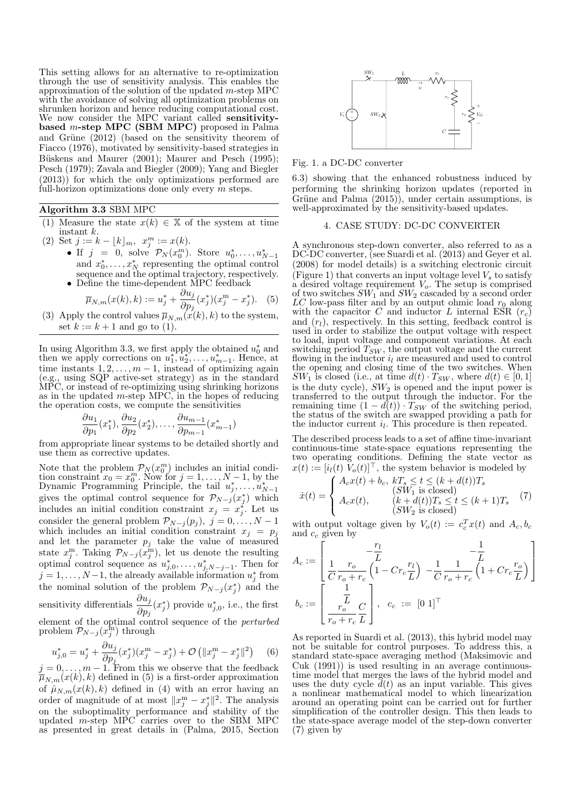This setting allows for an alternative to re-optimization through the use of sensitivity analysis. This enables the approximation of the solution of the updated  $m$ -step MPC with the avoidance of solving all optimization problems on shrunken horizon and hence reducing computational cost. We now consider the MPC variant called sensitivitybased m-step MPC (SBM MPC) proposed in Palma and Grüne (2012) (based on the sensitivity theorem of Fiacco (1976), motivated by sensitivity-based strategies in Büskens and Maurer (2001); Maurer and Pesch (1995); Pesch (1979); Zavala and Biegler (2009); Yang and Biegler (2013)) for which the only optimizations performed are full-horizon optimizations done only every  $m$  steps.

## Algorithm 3.3 SBM MPC

- (1) Measure the state  $x(k) \in \mathbb{X}$  of the system at time instant k.
- (2) Set  $j := k \lfloor k \rfloor_m$ ,  $x_j^m := x(k)$ .
	- If  $j = 0$ , solve  $\mathcal{P}_N(x_0^m)$ . Store  $u_0^*, \ldots, u_{N-1}^*$ and  $x_0^*, \ldots, x_N^*$  representing the optimal control sequence and the optimal trajectory, respectively. • Define the time-dependent MPC feedback

$$
\overline{\mu}_{N,m}(x(k),k) := u_j^* + \frac{\partial u_j}{\partial p_j}(x_j^*)(x_j^m - x_j^*). \tag{5}
$$

(3) Apply the control values  $\overline{\mu}_{N,m}(x(k), k)$  to the system, set  $k := k + 1$  and go to (1).

In using Algorithm 3.3, we first apply the obtained  $u_0^*$  and then we apply corrections on  $u_1^*, u_2^*, \ldots, u_{m-1}^*$ . Hence, at time instants  $1, 2, \ldots, m-1$ , instead of optimizing again (e.g., using SQP active-set strategy) as in the standard MPC, or instead of re-optimizing using shrinking horizons as in the updated  $m$ -step MPC, in the hopes of reducing the operation costs, we compute the sensitivities

$$
\frac{\partial u_1}{\partial p_1}(x_1^*), \frac{\partial u_2}{\partial p_2}(x_2^*), \dots, \frac{\partial u_{m-1}}{\partial p_{m-1}}(x_{m-1}^*)
$$

)

from appropriate linear systems to be detailed shortly and use them as corrective updates.

Note that the problem  $\mathcal{P}_N(x_0^m)$  includes an initial condition constraint  $x_0 = x_0^m$ . Now for  $j = 1, ..., N-1$ , by the Dynamic Programming Principle, the tail  $u_j^*, ..., u_{N-1}^*$ gives the optimal control sequence for  $\mathcal{P}_{N-j}(x_j^*)$  which includes an initial condition constraint  $x_j = x_j^*$ . Let us consider the general problem  $\mathcal{P}_{N-j}(p_j)$ ,  $j = 0, \ldots, N-1$ which includes an initial condition constraint  $x_i = p_i$ and let the parameter  $p_j$  take the value of measured state  $x_j^{\text{m}}$ . Taking  $\mathcal{P}_{N-j}(x_j^{\text{m}})$ , let us denote the resulting optimal control sequence as  $u_{j,0}^*, \ldots, u_{j,N-j-1}^*$ . Then for  $j = 1, \ldots, N-1$ , the already available information  $u_j^*$  from the nominal solution of the problem  $\mathcal{P}_{N-j}(x_j^*)$  and the sensitivity differentials  $\frac{\partial u_j}{\partial p_j}(x_j^*)$  provide  $u_{j,0}^*$ , i.e., the first element of the optimal control sequence of the perturbed problem  $\mathcal{P}_{N-j}(x_j^{\text{fn}})$  through We rew consider the bitter varies in the latentity is equilibriutly in great details in the same of CH2) (based on the same involved in great details in (Palma, 2015, Section 4) and CH2) (based on the same in Fest), Secti

$$
u_{j,0}^* = u_j^* + \frac{\partial u_j}{\partial p_j} (x_j^*) (x_j^{\mathrm{m}} - x_j^*) + \mathcal{O}\left(\|x_j^{\mathrm{m}} - x_j^*\|^2\right) \tag{6}
$$

 $j = 0, \ldots, m - 1$ . From this we observe that the feedback  $\overline{\mu}_{N,m}(x(k), k)$  defined in (5) is a first-order approximation of  $\hat{\mu}_{N,m}(x(k), k)$  defined in (4) with an error having an order of magnitude of at most  $||x_j^m - x_j^*||^2$ . The analysis on the suboptimality performance and stability of the updated m-step MPC carries over to the SBM MPC



Fig. 1. a DC-DC converter

6.3) showing that the enhanced robustness induced by performing the shrinking horizon updates (reported in Grüne and Palma  $(2015)$ , under certain assumptions, is well-approximated by the sensitivity-based updates.

### 4. CASE STUDY: DC-DC CONVERTER

A synchronous step-down converter, also referred to as a DC-DC converter, (see Suardi et al. (2013) and Geyer et al. (2008) for model details) is a switching electronic circuit (Figure 1) that converts an input voltage level  $V<sub>s</sub>$  to satisfy a desired voltage requirement  $V<sub>o</sub>$ . The setup is comprised of two switches  $SW_1$  and  $SW_2$  cascaded by a second order LC low-pass filter and by an output ohmic load  $r_0$  along with the capacitor C and inductor L internal ESR  $(r_c)$ and  $(r_l)$ , respectively. In this setting, feedback control is used in order to stabilize the output voltage with respect to load, input voltage and component variations. At each switching period  $T_{SW}$ , the output voltage and the current flowing in the inductor  $i_l$  are measured and used to control the opening and closing time of the two switches. When  $SW_1$  is closed (i.e., at time  $d(t) \cdot T_{SW}$ , where  $d(t) \in [0,1]$ is the duty cycle),  $SW_2$  is opened and the input power is transferred to the output through the inductor. For the remaining time  $(1 - d(t)) \cdot T_{SW}$  of the switching period, the status of the switch are swapped providing a path for the inductor current  $i_l$ . This procedure is then repeated.

The described process leads to a set of affine time-invariant continuous-time state-space equations representing the two operating conditions. Defining the state vector as  $x(t) := [i_l(t) V_o(t)]^\top$ , the system behavior is modeled by

$$
\dot{x}(t) = \begin{cases}\nA_c x(t) + b_c, & kT_s \le t \le (k + d(t))T_s \\
(SW_1 \text{ is closed}) \\
A_c x(t), & (k + d(t))T_s \le t \le (k + 1)T_s \\
(SW_2 \text{ is closed})\n\end{cases} \tag{7}
$$

with output voltage given by  $V_o(t) := c_c^T x(t)$  and  $A_c, b_c$ and  $c_c$  given by

$$
A_c := \left[\begin{array}{c} -\frac{r_l}{L} & -\frac{1}{L} \\ \frac{1}{C}\frac{r_o}{r_o + r_c}\left(1 - C r_c \frac{r_l}{L}\right) \right. \\ -\frac{1}{C}\frac{1}{r_o + r_c}\left(1 + C r_c \frac{r_o}{L}\right) \end{array}\right]
$$

$$
b_c := \left[\begin{array}{c} \frac{1}{r_o} \\ \frac{1}{r_o + r_c} \frac{C}{L} \end{array}\right], \quad c_c := \left[0 \ 1\right]^\top
$$

As reported in Suardi et al. (2013), this hybrid model may not be suitable for control purposes. To address this, a standard state-space averaging method (Maksimovic and Cuk (1991)) is used resulting in an average continuoustime model that merges the laws of the hybrid model and uses the duty cycle  $\tilde{d}(t)$  as an input variable. This gives a nonlinear mathematical model to which linearization around an operating point can be carried out for further simplification of the controller design. This then leads to the state-space average model of the step-down converter (7) given by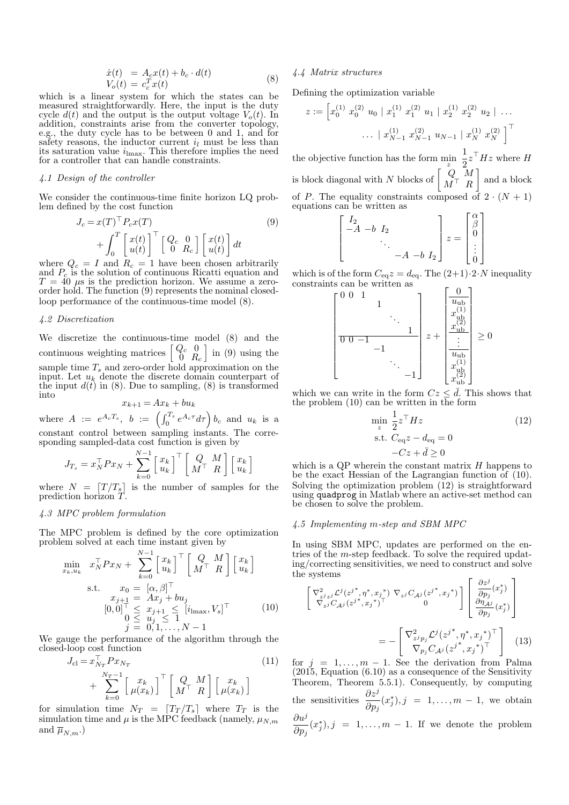$$
\begin{aligned}\n\dot{x}(t) &= A_c x(t) + b_c \cdot d(t) \\
V_o(t) &= c_c^T x(t)\n\end{aligned} \tag{8}
$$

which is a linear system for which the states can be measured straightforwardly. Here, the input is the duty cycle  $d(t)$  and the output is the output voltage  $V_o(t)$ . In addition, constraints arise from the converter topology, e.g., the duty cycle has to be between 0 and 1, and for safety reasons, the inductor current  $i_l$  must be less than its saturation value  $i_{\text{lmax}}$ . This therefore implies the need for a controller that can handle constraints.

## 4.1 Design of the controller

We consider the continuous-time finite horizon LQ problem defined by the cost function

$$
J_c = x(T)^{\top} P_c x(T)
$$
  
+ 
$$
\int_0^T \begin{bmatrix} x(t) \\ u(t) \end{bmatrix}^{\top} \begin{bmatrix} Q_c & 0 \\ 0 & R_c \end{bmatrix} \begin{bmatrix} x(t) \\ u(t) \end{bmatrix} dt
$$
 (9)

where  $Q_c = I$  and  $R_c = 1$  have been chosen arbitrarily and  $P_c$  is the solution of continuous Ricatti equation and  $T = 40 \mu s$  is the prediction horizon. We assume a zeroorder hold. The function (9) represents the nominal closedloop performance of the continuous-time model (8).

# 4.2 Discretization

We discretize the continuous-time model (8) and the continuous weighting matrices  $\begin{bmatrix} Q_c & 0 \\ 0 & R_c \end{bmatrix}$  $\ln(9)$  using the sample time  $T_s$  and zero-order hold approximation on the input. Let  $u_k$  denote the discrete domain counterpart of the input  $d(t)$  in (8). Due to sampling, (8) is transformed into

$$
x_{k+1} = Ax_k + bu_k
$$

where  $A := e^{A_c T_s}$ ,  $b := \left( \int_0^{T_s} e^{A_c \tau} d\tau \right) b_c$  and  $u_k$  is a constant control between sampling instants. The corresponding sampled-data cost function is given by

$$
J_{T_s} = x_N^\top P x_N + \sum_{k=0}^{N-1} \begin{bmatrix} x_k \\ u_k \end{bmatrix}^\top \begin{bmatrix} Q & M \\ M^\top & R \end{bmatrix} \begin{bmatrix} x_k \\ u_k \end{bmatrix}
$$

where  $N = \lfloor T / T_s \rfloor$  is the number of samples for the prediction horizon T.

# 4.3 MPC problem formulation

The MPC problem is defined by the core optimization problem solved at each time instant given by

$$
\min_{x_k, u_k} x_N^\top P x_N + \sum_{k=0}^{N-1} \begin{bmatrix} x_k \\ u_k \end{bmatrix}^\top \begin{bmatrix} Q & M \\ M^\top & R \end{bmatrix} \begin{bmatrix} x_k \\ u_k \end{bmatrix}
$$
\n
$$
\text{s.t.} \quad x_0 = [\alpha, \beta]^\top
$$
\n
$$
x_{j+1} = Ax_j + bu_j
$$
\n
$$
[0, 0]^\top \leq x_{j+1} \leq [i_{\text{max}}, V_s]^\top
$$
\n
$$
0 \leq u_j \leq 1
$$
\n
$$
j = 0, 1, \dots, N-1
$$
\n(10)

We gauge the performance of the algorithm through the closed-loop cost function  $\pm$ 

$$
J_{\rm cl} = x_{N_T}^\top P x_{N_T}
$$
\n
$$
+ \sum_{k=0}^{N_T - 1} \begin{bmatrix} x_k \\ \mu(x_k) \end{bmatrix}^\top \begin{bmatrix} Q & M \\ M^\top & R \end{bmatrix} \begin{bmatrix} x_k \\ \mu(x_k) \end{bmatrix}
$$
\n(11)

for simulation time  $N_T = [T_T / T_s]$  where  $T_T$  is the simulation time and  $\mu$  is the MPC feedback (namely,  $\mu_{N,m}$ and  $\overline{\mu}_{N,m}.)$ 

## 4.4 Matrix structures

Defining the optimization variable

$$
z := \left[ x_0^{(1)} \ x_0^{(2)} \ u_0 \mid x_1^{(1)} \ x_1^{(2)} \ u_1 \mid x_2^{(1)} \ x_2^{(2)} \ u_2 \mid \dots \right. \\
 \left. \dots \mid x_{N-1}^{(1)} \ x_{N-1}^{(2)} \ u_{N-1} \mid x_N^{(1)} \ x_N^{(2)} \right]^\top
$$

the objective function has the form  $\min_{z}$ 1  $\frac{1}{2}z^{\top}Hz$  where H is block diagonal with N blocks of  $\begin{bmatrix} Q & M \\ M^{\top} & R \end{bmatrix}$  $M^{\top}$  R and a block of P. The equality constraints composed of  $2 \cdot (N + 1)$ equations can be written as

$$
\begin{bmatrix} I_2 & & & \\ -A & -b & I_2 & & \\ & & \ddots & & \\ & & & -A & -b & I_2 \end{bmatrix} z = \begin{bmatrix} \alpha \\ \beta \\ 0 \\ \vdots \\ 0 \end{bmatrix}
$$

which is of the form  $C_{\text{eq}}z = d_{\text{eq}}$ . The  $(2+1)\cdot 2\cdot N$  inequality constraints can be written as

$$
\begin{bmatrix} 0 & 0 & 1 & & & \\ & & 1 & & & \\ & & & \ddots & & \\ & & & & 1 & \\ \hline 0 & 0 & -1 & & & \\ & & & & \ddots & \\ & & & & & -1 \end{bmatrix} z + \begin{bmatrix} 0 \\ u_{\text{ub}} \\ x_{\text{ub}}^{(1)} \\ \vdots \\ x_{\text{ub}}^{(1)} \\ x_{\text{ub}}^{(1)} \\ x_{\text{ub}}^{(2)} \\ x_{\text{ub}}^{(2)} \end{bmatrix} \ge 0
$$

which we can write in the form  $Cz \leq d$ . This shows that the problem  $(10)$  can be written in the form

$$
\min_{z} \frac{1}{2} z^{\top} H z
$$
\n
$$
\text{s.t. } C_{\text{eq}} z - d_{\text{eq}} = 0
$$
\n
$$
-Cz + \bar{d} \ge 0
$$
\n(12)

which is a QP wherein the constant matrix  $H$  happens to be the exact Hessian of the Lagrangian function of (10). Solving the optimization problem (12) is straightforward using quadprog in Matlab where an active-set method can be chosen to solve the problem.

## 4.5 Implementing m-step and SBM MPC

In using SBM MPC, updates are performed on the entries of the m-step feedback. To solve the required updating/correcting sensitivities, we need to construct and solve the systems

$$
\begin{bmatrix}\n\nabla_{z^j z^j}^2 \mathcal{L}^j (z^{j*}, \eta^*, x_j^*) \nabla_{z^j} C_{\mathcal{A}^j} (z^{j*}, x_j^*)\n\end{bmatrix}\n\begin{bmatrix}\n\frac{\partial z^j}{\partial p_j}(x_j^*) \\
\frac{\partial z^j}{\partial p_j}(x_j^*)\n\end{bmatrix}
$$
\n
$$
= -\begin{bmatrix}\n\nabla_{z^j p_j}^2 \mathcal{L}^j (z^{j*}, \eta^*, x_j^*)^\top \\
\nabla_{p_j} C_{\mathcal{A}^j} (z^{j*}, x_j^*)^\top\n\end{bmatrix} (13)
$$

for  $j = 1, ..., m - 1$ . See the derivation from Palma (2015, Equation (6.10) as a consequence of the Sensitivity Theorem, Theorem 5.5.1). Consequently, by computing the sensitivities  $\frac{\partial z^j}{\partial p_j}(x_j^*), j = 1, \ldots, m-1$ , we obtain  $\partial u^j$ 

 $\frac{\partial u}{\partial p_j}(x_j^*), j = 1, \ldots, m-1$ . If we denote the problem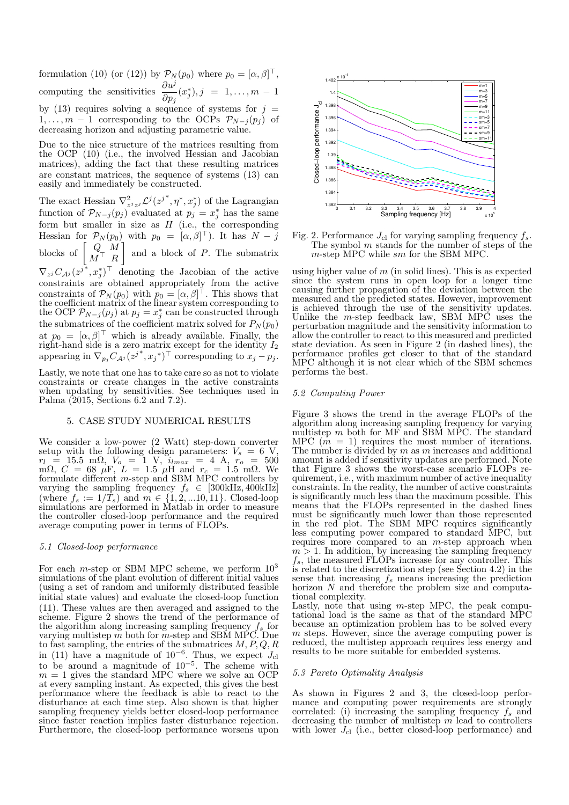formulation (10) (or (12)) by  $\mathcal{P}_N(p_0)$  where  $p_0 = [\alpha, \beta]^\top$ , computing the sensitivities  $\frac{\partial u^j}{\partial p_j}(x_j^*), j = 1, \ldots, m-1$ by (13) requires solving a sequence of systems for  $j =$  $1, \ldots, m-1$  corresponding to the OCPs  $\mathcal{P}_{N-j}(p_j)$  of decreasing horizon and adjusting parametric value.

Due to the nice structure of the matrices resulting from the OCP (10) (i.e., the involved Hessian and Jacobian matrices), adding the fact that these resulting matrices are constant matrices, the sequence of systems (13) can easily and immediately be constructed.

The exact Hessian  $\nabla^2_{z^j z^j} \mathcal{L}^j(z^{j^*}, \eta^*, x^*_j)$  of the Lagrangian function of  $\mathcal{P}_{N-j}(p_j)$  evaluated at  $p_j = x_j^*$  has the same form but smaller in size as  $H$  (i.e., the corresponding Hessian for  $\mathcal{P}_N(p_0)$  with  $p_0 = [\alpha, \beta]^{\top}$ . It has  $N - j$ blocks of  $\begin{bmatrix} Q & M \\ M^\top & D \end{bmatrix}$  $M^{\top}$  R and a block of  $P$ . The submatrix  $\nabla_{z^j} C_{\mathcal{A}^j} (z^{j*}, x^*_j)^\top$  denoting the Jacobian of the active constraints are obtained appropriately from the active constraints of  $\mathcal{P}_N(p_0)$  with  $p_0 = [\alpha, \beta]^\top$ . This shows that the coefficient matrix of the linear system corresponding to the OCP  $\mathcal{P}_{N-j}(p_j)$  at  $p_j = x_j^*$  can be constructed through the submatrices of the coefficient matrix solved for  $P_N(p_0)$ 

at  $p_0 = [\alpha, \beta]^{\top}$  which is already available. Finally, the right-hand side is a zero matrix except for the identity  $I_2$ appearing in  $\nabla_{p_j} C_{\mathcal{A}^j} (z^{j^*}, x_j^*)^\top$  corresponding to  $x_j - p_j$ . Lastly, we note that one has to take care so as not to violate constraints or create changes in the active constraints

when updating by sensitivities. See techniques used in Palma (2015, Sections 6.2 and 7.2).

## 5. CASE STUDY NUMERICAL RESULTS

We consider a low-power (2 Watt) step-down converter setup with the following design parameters:  $V_s = 6$  V,  $r_l = 15.5 \text{ m}\Omega, V_o = 1 \text{ V}, i_{lmax} = 4 \text{ A}, r_o = 500$ mΩ,  $C = 68$   $\mu$ F,  $L = 1.5$   $\mu$ H and  $r_c = 1.5$  mΩ. We formulate different  $m$ -step and SBM MPC controllers by varying the sampling frequency  $f_s \in [300kHz, 400kHz]$ (where  $f_s := 1/T_s$ ) and  $m \in \{1, 2, ...10, 11\}$ . Closed-loop simulations are performed in Matlab in order to measure the controller closed-loop performance and the required average computing power in terms of FLOPs.

## 5.1 Closed-loop performance

For each *m*-step or SBM MPC scheme, we perform  $10^3$ simulations of the plant evolution of different initial values (using a set of random and uniformly distributed feasible initial state values) and evaluate the closed-loop function (11). These values are then averaged and assigned to the scheme. Figure 2 shows the trend of the performance of the algorithm along increasing sampling frequency  $f_s$  for varying multistep  $m$  both for  $m$ -step and SBM MPC. Due to fast sampling, the entries of the submatrices  $M, P, Q, R$ in (11) have a magnitude of  $10^{-6}$ . Thus, we expect  $J_{\rm cl}$ to be around a magnitude of  $10^{-5}$ . The scheme with  $m = 1$  gives the standard MPC where we solve an OCP at every sampling instant. As expected, this gives the best performance where the feedback is able to react to the disturbance at each time step. Also shown is that higher sampling frequency yields better closed-loop performance since faster reaction implies faster disturbance rejection. Furthermore, the closed-loop performance worsens upon



Fig. 2. Performance  $J_{\rm cl}$  for varying sampling frequency  $f_s$ . The symbol  $m$  stands for the number of steps of the m-step MPC while sm for the SBM MPC.

using higher value of  $m$  (in solid lines). This is as expected since the system runs in open loop for a longer time causing further propagation of the deviation between the measured and the predicted states. However, improvement is achieved through the use of the sensitivity updates. Unlike the  $m$ -step feedback law, SBM MPC uses the perturbation magnitude and the sensitivity information to allow the controller to react to this measured and predicted state deviation. As seen in Figure 2 (in dashed lines), the performance profiles get closer to that of the standard MPC although it is not clear which of the SBM schemes performs the best.

## 5.2 Computing Power

Figure 3 shows the trend in the average FLOPs of the algorithm along increasing sampling frequency for varying multistep  $m$  both for MF and SBM MPC. The standard MPC  $(m = 1)$  requires the most number of iterations. The number is divided by  $m$  as  $m$  increases and additional amount is added if sensitivity updates are performed. Note that Figure 3 shows the worst-case scenario FLOPs requirement, i.e., with maximum number of active inequality constraints. In the reality, the number of active constraints is significantly much less than the maximum possible. This means that the FLOPs represented in the dashed lines must be significantly much lower than those represented in the red plot. The SBM MPC requires significantly less computing power compared to standard MPC, but requires more compared to an m-step approach when  $m > 1$ . In addition, by increasing the sampling frequency  $f_s$ , the measured FLOPs increase for any controller. This is related to the discretization step (see Section 4.2) in the sense that increasing  $f_s$  means increasing the prediction horizon N and therefore the problem size and computational complexity.

Lastly, note that using  $m$ -step MPC, the peak computational load is the same as that of the standard MPC because an optimization problem has to be solved every  $m$  steps. However, since the average computing power is reduced, the multistep approach requires less energy and results to be more suitable for embedded systems.

# 5.3 Pareto Optimality Analysis

As shown in Figures 2 and 3, the closed-loop performance and computing power requirements are strongly correlated: (i) increasing the sampling frequency  $f_s$  and decreasing the number of multistep  $m$  lead to controllers with lower  $J_{\text{cl}}$  (i.e., better closed-loop performance) and